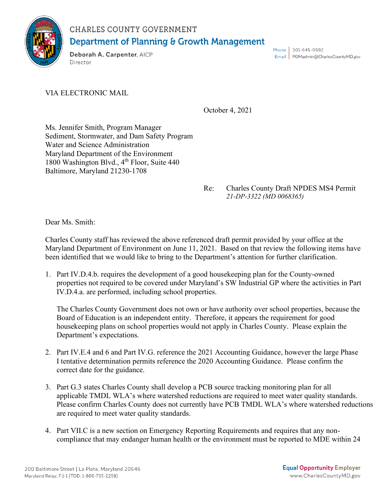

## CHARLES COUNTY GOVERNMENT **Department of Planning & Growth Management**

Deborah A. Carpenter, AICP Director

Phone 301-645-0692 Email | PGMadmin@CharlesCountyMD.gov

VIA ELECTRONIC MAIL

October 4, 2021

Ms. Jennifer Smith, Program Manager Sediment, Stormwater, and Dam Safety Program Water and Science Administration Maryland Department of the Environment 1800 Washington Blvd., 4<sup>th</sup> Floor, Suite 440 Baltimore, Maryland 21230-1708

> Re: Charles County Draft NPDES MS4 Permit *21-DP-3322 (MD 0068365)*

Dear Ms. Smith:

Charles County staff has reviewed the above referenced draft permit provided by your office at the Maryland Department of Environment on June 11, 2021. Based on that review the following items have been identified that we would like to bring to the Department's attention for further clarification.

1. Part IV.D.4.b. requires the development of a good housekeeping plan for the County-owned properties not required to be covered under Maryland's SW Industrial GP where the activities in Part IV.D.4.a. are performed, including school properties.

The Charles County Government does not own or have authority over school properties, because the Board of Education is an independent entity. Therefore, it appears the requirement for good housekeeping plans on school properties would not apply in Charles County. Please explain the Department's expectations.

- 2. Part IV.E.4 and 6 and Part IV.G. reference the 2021 Accounting Guidance, however the large Phase I tentative determination permits reference the 2020 Accounting Guidance. Please confirm the correct date for the guidance.
- 3. Part G.3 states Charles County shall develop a PCB source tracking monitoring plan for all applicable TMDL WLA's where watershed reductions are required to meet water quality standards. Please confirm Charles County does not currently have PCB TMDL WLA's where watershed reductions are required to meet water quality standards.
- 4. Part VII.C is a new section on Emergency Reporting Requirements and requires that any noncompliance that may endanger human health or the environment must be reported to MDE within 24